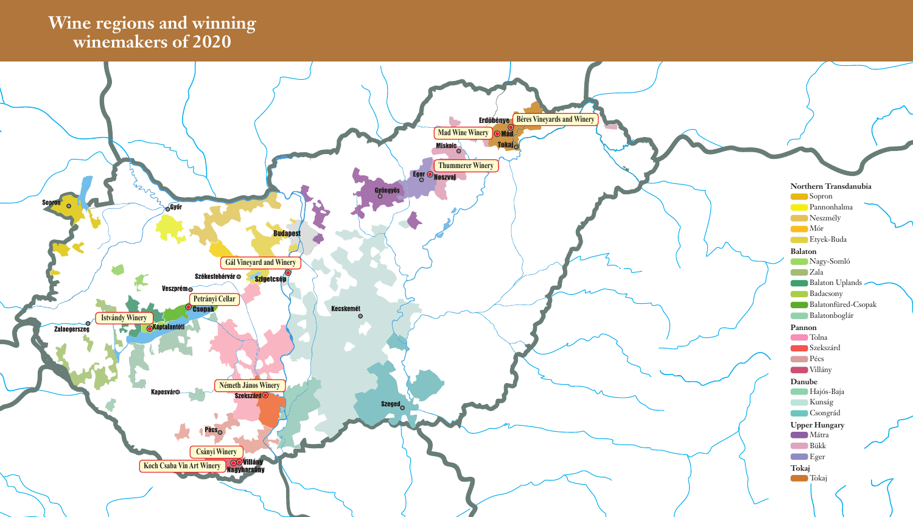## **Wine regions and winning winemakers of 2020**